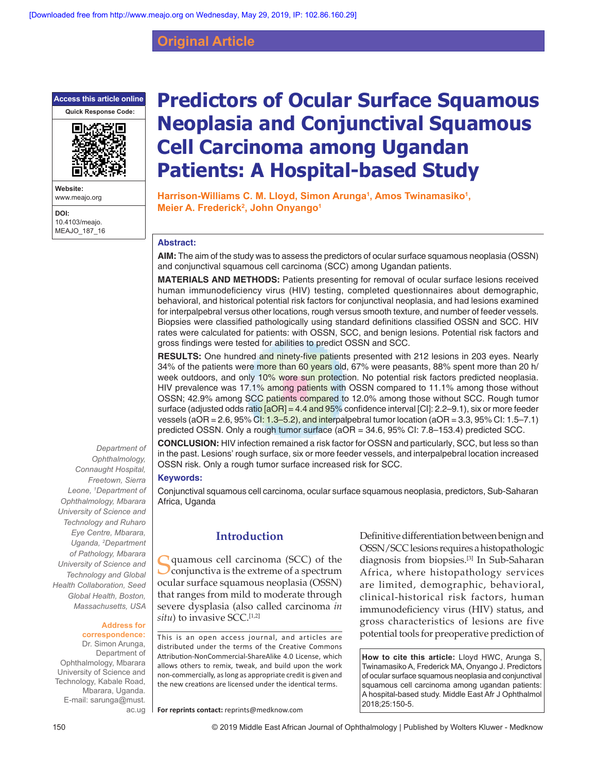**Original Article**

**Access this article online**



**Website:** www.meajo.org

**DOI:** 10.4103/meajo. MEAJO\_187\_16

*Ophthalmology, Connaught Hospital, Freetown, Sierra Leone, 1 Department of Ophthalmology, Mbarara University of Science and Technology and Ruharo Eye Centre, Mbarara, Uganda, 2 Department of Pathology, Mbarara University of Science and Technology and Global Health Collaboration, Seed Global Health, Boston, Massachusetts, USA*

*Department of* 

#### **Address for correspondence:**

Dr. Simon Arunga, Department of Ophthalmology, Mbarara University of Science and Technology, Kabale Road, Mbarara, Uganda. E‑mail: sarunga@must. ac.ug

# **Predictors of Ocular Surface Squamous Neoplasia and Conjunctival Squamous Cell Carcinoma among Ugandan Patients: A Hospital‑based Study**

Harrison-Williams C. M. Lloyd, Simon Arunga<sup>1</sup>, Amos Twinamasiko<sup>1</sup>, **Meier A. Frederick2 , John Onyango1**

#### **Abstract:**

**AIM:** The aim of the study was to assess the predictors of ocular surface squamous neoplasia (OSSN) and conjunctival squamous cell carcinoma (SCC) among Ugandan patients.

**MATERIALS AND METHODS:** Patients presenting for removal of ocular surface lesions received human immunodeficiency virus (HIV) testing, completed questionnaires about demographic, behavioral, and historical potential risk factors for conjunctival neoplasia, and had lesions examined for interpalpebral versus other locations, rough versus smooth texture, and number of feeder vessels. Biopsies were classified pathologically using standard definitions classified OSSN and SCC. HIV rates were calculated for patients: with OSSN, SCC, and benign lesions. Potential risk factors and gross findings were tested for abilities to predict OSSN and SCC.

**RESULTS:** One hundred and ninety-five patients presented with 212 lesions in 203 eyes. Nearly 34% of the patients were more than 60 years old, 67% were peasants, 88% spent more than 20 h/ week outdoors, and only 10% wore sun protection. No potential risk factors predicted neoplasia. HIV prevalence was 17.1% among patients with OSSN compared to 11.1% among those without OSSN; 42.9% among SCC patients compared to 12.0% among those without SCC. Rough tumor surface (adjusted odds ratio  $\sqrt{a}OR$ ] = 4.4 and 95% confidence interval [CI]: 2.2–9.1), six or more feeder vessels (aOR = 2.6, 95% CI: 1.3–5.2), and interpalpebral tumor location (aOR = 3.3, 95% CI: 1.5–7.1) predicted OSSN. Only a rough tumor surface (aOR = 34.6, 95% CI: 7.8–153.4) predicted SCC.

**CONCLUSION:** HIV infection remained a risk factor for OSSN and particularly, SCC, but less so than in the past. Lesions' rough surface, six or more feeder vessels, and interpalpebral location increased OSSN risk. Only a rough tumor surface increased risk for SCC.

#### **Keywords:**

Conjunctival squamous cell carcinoma, ocular surface squamous neoplasia, predictors, Sub‑Saharan Africa, Uganda

#### **Introduction**

Squamous cell carcinoma (SCC) of the Squamous cell carcinoma (SCC) of the Squamous est contrared to a spectrum ocular surface squamous neoplasia (OSSN) that ranges from mild to moderate through severe dysplasia (also called carcinoma *in situ*) to invasive SCC.<sup>[1,2]</sup>

This is an open access journal, and articles are distributed under the terms of the Creative Commons Attribution‑NonCommercial‑ShareAlike 4.0 License, which allows others to remix, tweak, and build upon the work non‑commercially, as long as appropriate credit is given and the new creations are licensed under the identical terms.

**For reprints contact:** reprints@medknow.com

Definitive differentiation between benign and OSSN/SCC lesions requires a histopathologic diagnosis from biopsies.[3] In Sub‑Saharan Africa, where histopathology services are limited, demographic, behavioral, clinical‑historical risk factors, human immunodeficiency virus (HIV) status, and gross characteristics of lesions are five potential tools for preoperative prediction of

**How to cite this article:** Lloyd HWC, Arunga S, Twinamasiko A, Frederick MA, Onyango J. Predictors of ocular surface squamous neoplasia and conjunctival squamous cell carcinoma among ugandan patients: A hospital-based study. Middle East Afr J Ophthalmol 2018;25:150-5.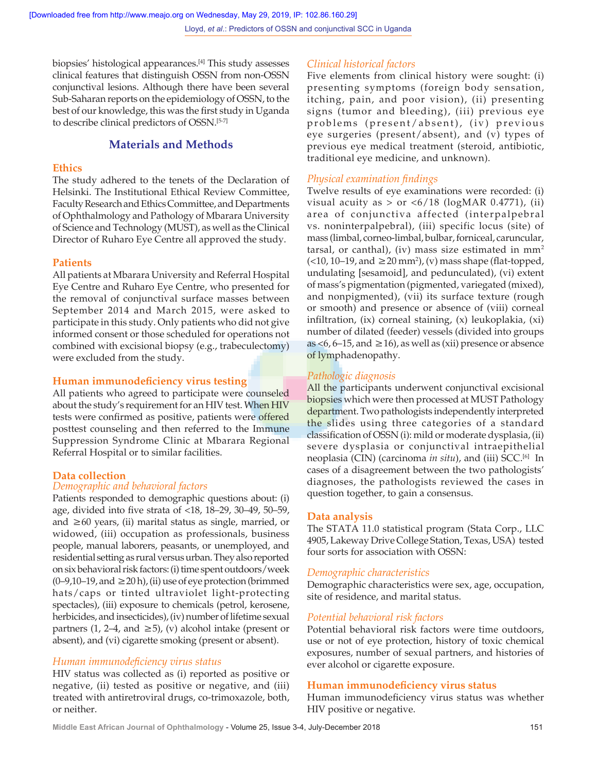biopsies' histological appearances.[4] This study assesses clinical features that distinguish OSSN from non‑OSSN conjunctival lesions. Although there have been several Sub‑Saharan reports on the epidemiology of OSSN, to the best of our knowledge, this was the first study in Uganda to describe clinical predictors of OSSN.[5‑7]

# **Materials and Methods**

#### **Ethics**

The study adhered to the tenets of the Declaration of Helsinki. The Institutional Ethical Review Committee, Faculty Research and Ethics Committee, and Departments of Ophthalmology and Pathology of Mbarara University of Science and Technology (MUST), as well as the Clinical Director of Ruharo Eye Centre all approved the study.

#### **Patients**

All patients at Mbarara University and Referral Hospital Eye Centre and Ruharo Eye Centre, who presented for the removal of conjunctival surface masses between September 2014 and March 2015, were asked to participate in this study. Only patients who did not give informed consent or those scheduled for operations not combined with excisional biopsy (e.g., trabeculectomy) were excluded from the study.

#### **Human immunodeficiency virus testing**

All patients who agreed to participate were counseled about the study's requirement for an HIV test. When HIV tests were confirmed as positive, patients were offered posttest counseling and then referred to the Immune Suppression Syndrome Clinic at Mbarara Regional Referral Hospital or to similar facilities.

#### **Data collection**

# *Demographic and behavioral factors*

Patients responded to demographic questions about: (i) age, divided into five strata of <18, 18–29, 30–49, 50–59, and  $\geq 60$  years, (ii) marital status as single, married, or widowed, (iii) occupation as professionals, business people, manual laborers, peasants, or unemployed, and residential setting as rural versus urban. They also reported on six behavioral risk factors:(i) time spent outdoors/week (0–9,10–19, and ≥20 h), (ii) use of eye protection (brimmed hats/caps or tinted ultraviolet light-protecting spectacles), (iii) exposure to chemicals (petrol, kerosene, herbicides, and insecticides),(iv) number of lifetime sexual partners (1, 2–4, and  $\geq$ 5), (v) alcohol intake (present or absent), and (vi) cigarette smoking (present or absent).

#### *Human immunodeficiency virus status*

HIV status was collected as (i) reported as positive or negative, (ii) tested as positive or negative, and (iii) treated with antiretroviral drugs, co-trimoxazole, both, or neither.

#### *Clinical historical factors*

Five elements from clinical history were sought: (i) presenting symptoms (foreign body sensation, itching, pain, and poor vision), (ii) presenting signs (tumor and bleeding), (iii) previous eye problems (present/absent), (iv) previous eye surgeries (present/absent), and (v) types of previous eye medical treatment (steroid, antibiotic, traditional eye medicine, and unknown).

#### *Physical examination findings*

Twelve results of eye examinations were recorded: (i) visual acuity as  $>$  or  $\langle 6/18 \rangle$  (logMAR 0.4771), (ii) area of conjunctiva affected (interpalpebral vs. noninterpalpebral), (iii) specific locus (site) of mass (limbal, corneo‑limbal, bulbar, forniceal, caruncular, tarsal, or canthal), (iv) mass size estimated in  $mm<sup>2</sup>$  $($  <10, 10–19, and  $\geq$  20 mm<sup>2</sup>), (v) mass shape (flat-topped, undulating [sesamoid], and pedunculated), (vi) extent of mass's pigmentation (pigmented, variegated (mixed), and nonpigmented), (vii) its surface texture (rough or smooth) and presence or absence of (viii) corneal infiltration, (ix) corneal staining, (x) leukoplakia, (xi) number of dilated (feeder) vessels (divided into groups as <6, 6–15, and  $\geq$  16), as well as (xii) presence or absence of lymphadenopathy.

# *Pathologic diagnosis*

All the participants underwent conjunctival excisional biopsies which were then processed at MUST Pathology department. Two pathologists independently interpreted the slides using three categories of a standard classification of OSSN (i): mild or moderate dysplasia,(ii) severe dysplasia or conjunctival intraepithelial neoplasia (CIN) (carcinoma *in situ*), and (iii) SCC.[6] In cases of a disagreement between the two pathologists' diagnoses, the pathologists reviewed the cases in question together, to gain a consensus.

#### **Data analysis**

The STATA 11.0 statistical program (Stata Corp., LLC 4905, Lakeway Drive College Station, Texas, USA) tested four sorts for association with OSSN:

#### *Demographic characteristics*

Demographic characteristics were sex, age, occupation, site of residence, and marital status.

#### *Potential behavioral risk factors*

Potential behavioral risk factors were time outdoors, use or not of eye protection, history of toxic chemical exposures, number of sexual partners, and histories of ever alcohol or cigarette exposure.

#### **Human immunodeficiency virus status**

Human immunodeficiency virus status was whether HIV positive or negative.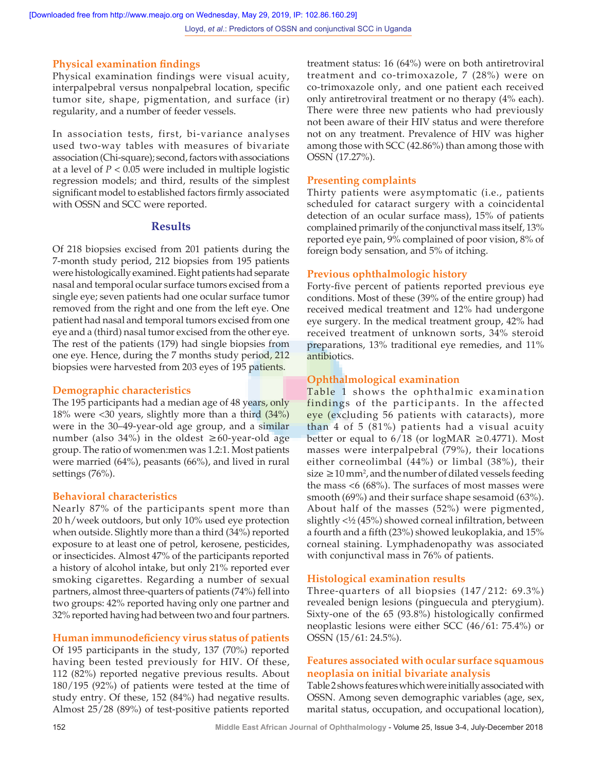# **Physical examination findings**

Physical examination findings were visual acuity, interpalpebral versus nonpalpebral location, specific tumor site, shape, pigmentation, and surface (ir) regularity, and a number of feeder vessels.

In association tests, first, bi-variance analyses used two‑way tables with measures of bivariate association (Chi‑square); second, factors with associations at a level of *P* < 0.05 were included in multiple logistic regression models; and third, results of the simplest significant model to established factors firmly associated with OSSN and SCC were reported.

#### **Results**

Of 218 biopsies excised from 201 patients during the 7‑month study period, 212 biopsies from 195 patients were histologically examined. Eight patients had separate nasal and temporal ocular surface tumors excised from a single eye; seven patients had one ocular surface tumor removed from the right and one from the left eye. One patient had nasal and temporal tumors excised from one eye and a (third) nasal tumor excised from the other eye. The rest of the patients (179) had single biopsies from one eye. Hence, during the 7 months study period, 212 biopsies were harvested from 203 eyes of 195 patients.

#### **Demographic characteristics**

The 195 participants had a median age of 48 years, only 18% were  $\langle 30 \rangle$  years, slightly more than a third  $(34\%)$ were in the 30–49-year-old age group, and a similar number (also 34%) in the oldest ≥60-year-old age group. The ratio of women:men was 1.2:1. Most patients were married (64%), peasants (66%), and lived in rural settings (76%).

#### **Behavioral characteristics**

Nearly 87% of the participants spent more than 20 h/week outdoors, but only 10% used eye protection when outside. Slightly more than a third (34%) reported exposure to at least one of petrol, kerosene, pesticides, or insecticides. Almost 47% of the participants reported a history of alcohol intake, but only 21% reported ever smoking cigarettes. Regarding a number of sexual partners, almost three‑quarters of patients (74%) fell into two groups: 42% reported having only one partner and 32% reported having had between two and four partners.

#### **Human immunodeficiency virus status of patients**

Of 195 participants in the study, 137 (70%) reported having been tested previously for HIV. Of these, 112 (82%) reported negative previous results. About 180/195 (92%) of patients were tested at the time of study entry. Of these, 152 (84%) had negative results. Almost 25/28 (89%) of test‑positive patients reported

treatment status: 16 (64%) were on both antiretroviral treatment and co-trimoxazole, 7 (28%) were on co‑trimoxazole only, and one patient each received only antiretroviral treatment or no therapy (4% each). There were three new patients who had previously not been aware of their HIV status and were therefore not on any treatment. Prevalence of HIV was higher among those with SCC (42.86%) than among those with OSSN (17.27%).

#### **Presenting complaints**

Thirty patients were asymptomatic (i.e., patients scheduled for cataract surgery with a coincidental detection of an ocular surface mass), 15% of patients complained primarily of the conjunctival mass itself, 13% reported eye pain, 9% complained of poor vision, 8% of foreign body sensation, and 5% of itching.

#### **Previous ophthalmologic history**

Forty-five percent of patients reported previous eye conditions. Most of these (39% of the entire group) had received medical treatment and 12% had undergone eye surgery. In the medical treatment group, 42% had received treatment of unknown sorts, 34% steroid preparations, 13% traditional eye remedies, and 11% antibiotics.

# **Ophthalmological examination**

Table 1 shows the ophthalmic examination findings of the participants. In the affected eye (excluding 56 patients with cataracts), more than 4 of 5 (81%) patients had a visual acuity better or equal to  $6/18$  (or logMAR  $\geq$  0.4771). Most masses were interpalpebral (79%), their locations either corneolimbal (44%) or limbal (38%), their size ≥10 mm<sup>2</sup>, and the number of dilated vessels feeding the mass <6 (68%). The surfaces of most masses were smooth (69%) and their surface shape sesamoid (63%). About half of the masses (52%) were pigmented, slightly <½ (45%) showed corneal infiltration, between a fourth and a fifth (23%) showed leukoplakia, and 15% corneal staining. Lymphadenopathy was associated with conjunctival mass in 76% of patients.

# **Histological examination results**

Three-quarters of all biopsies  $(147/212: 69.3\%)$ revealed benign lesions (pinguecula and pterygium). Sixty-one of the 65 (93.8%) histologically confirmed neoplastic lesions were either SCC (46/61: 75.4%) or OSSN (15/61: 24.5%).

#### **Features associated with ocular surface squamous neoplasia on initial bivariate analysis**

Table2 shows features which were initially associated with OSSN. Among seven demographic variables (age, sex, marital status, occupation, and occupational location),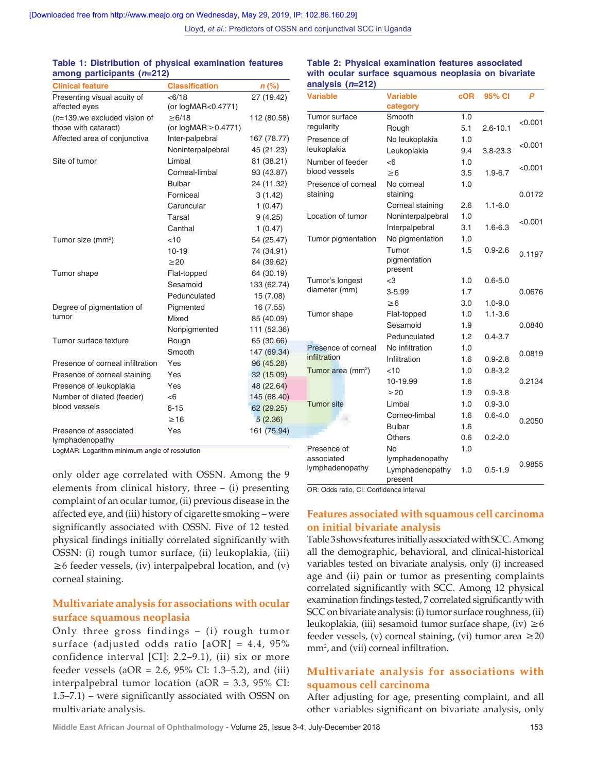| among paruoipanto (n-414)        |                            |             |
|----------------------------------|----------------------------|-------------|
| <b>Clinical feature</b>          | <b>Classification</b>      | $n$ (%)     |
| Presenting visual acuity of      | < 6/18                     | 27 (19.42)  |
| affected eyes                    | (or logMAR<0.4771)         |             |
| $(n=139,$ we excluded vision of  | $\geq 6/18$                | 112 (80.58) |
| those with cataract)             | (or $logMAR \geq 0.4771$ ) |             |
| Affected area of conjunctiva     | Inter-palpebral            | 167 (78.77) |
|                                  | Noninterpalpebral          | 45 (21.23)  |
| Site of tumor                    | Limbal                     | 81 (38.21)  |
|                                  | Corneal-limbal             | 93 (43.87)  |
|                                  | <b>Bulbar</b>              | 24 (11.32)  |
|                                  | Forniceal                  | 3(1.42)     |
|                                  | Caruncular                 | 1(0.47)     |
|                                  | Tarsal                     | 9(4.25)     |
|                                  | Canthal                    | 1(0.47)     |
| Tumor size (mm <sup>2</sup> )    | < 10                       | 54 (25.47)  |
|                                  | $10 - 19$                  | 74 (34.91)  |
|                                  | $\geq$ 20                  | 84 (39.62)  |
| Tumor shape                      | Flat-topped                | 64 (30.19)  |
|                                  | Sesamoid                   | 133 (62.74) |
|                                  | Pedunculated               | 15(7.08)    |
| Degree of pigmentation of        | Pigmented                  | 16 (7.55)   |
| tumor                            | Mixed                      | 85 (40.09)  |
|                                  | Nonpigmented               | 111 (52.36) |
| Tumor surface texture            | Rough                      | 65 (30.66)  |
|                                  | Smooth                     | 147 (69.34) |
| Presence of corneal infiltration | Yes                        | 96 (45.28)  |
| Presence of corneal staining     | Yes                        | 32 (15.09)  |
| Presence of leukoplakia          | Yes                        | 48 (22.64)  |
| Number of dilated (feeder)       | -6                         | 145 (68.40) |
| blood vessels                    | $6 - 15$                   | 62 (29.25)  |
|                                  | $\geq$ 16                  | 5(2.36)     |
| Presence of associated           | Yes                        | 161 (75.94) |
| lymphadenopathy                  |                            |             |

#### **Table 1: Distribution of physical examination features among participants (***n***=212)**

#### **Table 2: Physical examination features associated with ocular surface squamous neoplasia on bivariate analysis (***n***=212)**

Smooth 1.0

**cOR 95% CI** *P*

**category**

**Variable Variable** 

Tumor surface

2.6-10.1 <0.001 Rough 5.1 2.6-10.1 regularity No leukoplakia 1.0 Presence of 3.8‑23.3 <0.001 Leukoplakia 9.4 leukoplakia Number of feeder  $< 6$  1.0  $\geq 6$  1.9−6.7 <0.001 <br>2.6 3.5 1.9−6.7 blood vessels Presence of corneal No corneal 1.0 staining staining 0.0172 Corneal staining 2.6 1.1-6.0 Location of tumor Noninterpalpebral 1.0 1.6-6.3 <0.001<br>Interpalpebral 3.1 1.6-6.3 Tumor pigmentation No pigmentation 1.0 0.9-2.6 0.1197 Tumor 1.5 pigmentation present Tumor's longest <3 1.0 0.6‑5.0 diameter (mm) 3‑5.99 1.7 0.0676  $\geq 6$  3.0 1.0-9.0 Tumor shape Flat-topped 1.0 1.1-3.6 Sesamoid 1.9 0.0840 Pedunculated 1.2 0.4-3.7 Presence of corneal No infiltration 1.0 1.6 0.9-2.8 0.0819 infiltration Tumor area (mm<sup>2</sup>) ) <10 1.0 0.8‑3.2 10-19.99 1.6 0.2134  $\geq$ 20 1.9 0.9-3.8 Tumor site Limbal 1.0 0.9-3.0 0.2050 Corneo-limbal 1.6 0.6-4.0<br>Bulbar 1.6 ... **Bulbar** Others 0.6 0.2-2.0 1.0 Presence of No associated lymphadenopathy Examples to pathy<br>Lymphadenopathy 1.0 0.5-1.9 0.9855 lymphadenopathy 1.0 present

LogMAR: Logarithm minimum angle of resolution

only older age correlated with OSSN. Among the 9 elements from clinical history, three  $-$  (i) presenting complaint of an ocular tumor, (ii) previous disease in the affected eye, and (iii) history of cigarette smoking – were significantly associated with OSSN. Five of 12 tested physical findings initially correlated significantly with OSSN: (i) rough tumor surface, (ii) leukoplakia, (iii)  $\geq$ 6 feeder vessels, (iv) interpalpebral location, and (v) corneal staining.

# **Multivariate analysis for associations with ocular surface squamous neoplasia**

Only three gross findings – (i) rough tumor surface (adjusted odds ratio [aOR] = 4.4, 95% confidence interval [CI]: 2.2–9.1), (ii) six or more feeder vessels (aOR = 2.6, 95% CI: 1.3–5.2), and (iii) interpalpebral tumor location (aOR = 3.3, 95% CI: 1.5–7.1) – were significantly associated with OSSN on multivariate analysis.

OR: Odds ratio, CI: Confidence interval

#### **Features associated with squamous cell carcinoma on initial bivariate analysis**

Table3 shows features initially associated with SCC. Among all the demographic, behavioral, and clinical-historical variables tested on bivariate analysis, only (i) increased age and (ii) pain or tumor as presenting complaints correlated significantly with SCC. Among 12 physical examination findings tested, 7 correlated significantly with SCC on bivariate analysis: (i) tumor surface roughness, (ii) leukoplakia, (iii) sesamoid tumor surface shape, (iv)  $\geq 6$ feeder vessels, (v) corneal staining, (vi) tumor area  $\geq 20$ mm2 , and (vii) corneal infiltration.

# **Multivariate analysis for associations with squamous cell carcinoma**

After adjusting for age, presenting complaint, and all other variables significant on bivariate analysis, only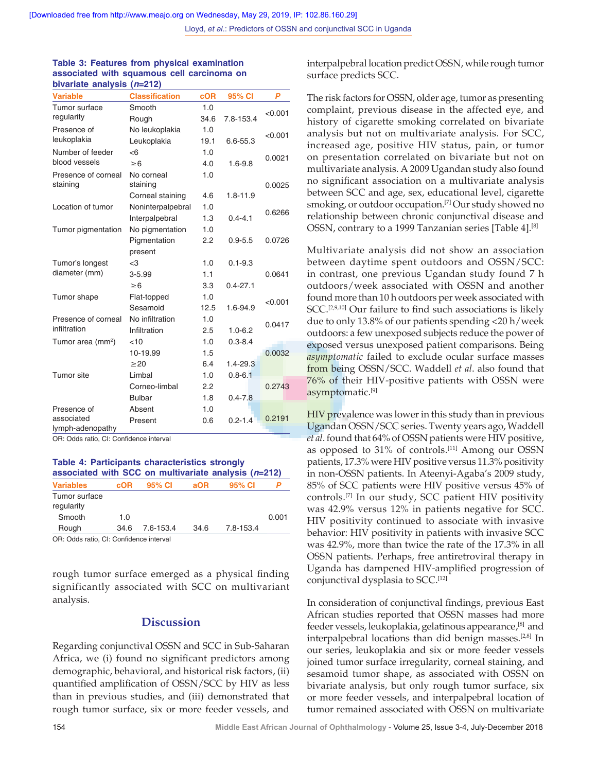#### **Table 3: Features from physical examination associated with squamous cell carcinoma on bivariate analysis (***n***=212)**

| <b>Variable</b>               | <b>Classification</b> | <b>cOR</b> | 95% CI       | P       |  |
|-------------------------------|-----------------------|------------|--------------|---------|--|
| Tumor surface                 | Smooth                | 1.0        |              | < 0.001 |  |
| regularity                    | Rough                 | 34.6       | 7.8-153.4    |         |  |
| Presence of                   | No leukoplakia        | 1.0        |              | < 0.001 |  |
| leukoplakia                   | Leukoplakia           | 19.1       | 6.6-55.3     |         |  |
| Number of feeder              | <6                    | 1.0        |              | 0.0021  |  |
| blood vessels                 | $\geq 6$              | 4.0        | $1.6 - 9.8$  |         |  |
| Presence of corneal           | No corneal            | 1.0        |              |         |  |
| staining                      | staining              |            |              | 0.0025  |  |
|                               | Corneal staining      | 4.6        | $1.8 - 11.9$ |         |  |
| Location of tumor             | Noninterpalpebral     | 1.0        |              | 0.6266  |  |
|                               | Interpalpebral        | 1.3        | $0.4 - 4.1$  |         |  |
| Tumor pigmentation            | No pigmentation       | 1.0        |              |         |  |
|                               | Pigmentation          | 2.2        | $0.9 - 5.5$  | 0.0726  |  |
|                               | present               |            |              |         |  |
| Tumor's longest               | $<$ 3                 | 1.0        | $0.1 - 9.3$  |         |  |
| diameter (mm)                 | $3 - 5.99$            | 1.1        |              | 0.0641  |  |
|                               | $\geq 6$              | 3.3        | $0.4 - 27.1$ |         |  |
| Tumor shape                   | Flat-topped           | 1.0        |              | < 0.001 |  |
|                               | Sesamoid              | 12.5       | 1.6-94.9     |         |  |
| Presence of corneal           | No infiltration       | 1.0        |              | 0.0417  |  |
| infiltration                  | Infiltration          | 2.5        | $1.0 - 6.2$  |         |  |
| Tumor area (mm <sup>2</sup> ) | < 10                  | 1.0        | $0.3 - 8.4$  |         |  |
|                               | 10-19.99              | 1.5        |              | 0.0032  |  |
|                               | $\geq$ 20             | 6.4        | $1.4 - 29.3$ |         |  |
| Tumor site                    | Limbal                | 1.0        | $0.8 - 6.1$  |         |  |
|                               | Corneo-limbal         | 2.2        |              | 0.2743  |  |
|                               | <b>Bulbar</b>         | 1.8        | $0.4 - 7.8$  |         |  |
| Presence of                   | Absent                | 1.0        |              |         |  |
| associated                    | Present               | 0.6        | $0.2 - 1.4$  | 0.2191  |  |
| lymph-adenopathy              |                       |            |              |         |  |

OR: Odds ratio, CI: Confidence interval

**Table 4: Participants characteristics strongly associated with SCC on multivariate analysis (***n***=212)**

| <b>Variables</b>                       | cOR  | 95% CI    | aOR  | 95% CI    |       |
|----------------------------------------|------|-----------|------|-----------|-------|
| Tumor surface<br>regularity            |      |           |      |           |       |
| Smooth                                 | 1.0  |           |      |           | 0.001 |
| Rough                                  | 34.6 | 7.6-153.4 | 34.6 | 7.8-153.4 |       |
| OB: Odds ratio CI: Confidence interval |      |           |      |           |       |

OR: Odds ratio, CI: Confidence interval

rough tumor surface emerged as a physical finding significantly associated with SCC on multivariant analysis.

#### **Discussion**

Regarding conjunctival OSSN and SCC in Sub‑Saharan Africa, we (i) found no significant predictors among demographic, behavioral, and historical risk factors, (ii) quantified amplification of OSSN/SCC by HIV as less than in previous studies, and (iii) demonstrated that rough tumor surface, six or more feeder vessels, and interpalpebral location predict OSSN, while rough tumor surface predicts SCC.

The risk factors for OSSN, older age, tumor as presenting complaint, previous disease in the affected eye, and history of cigarette smoking correlated on bivariate analysis but not on multivariate analysis. For SCC, increased age, positive HIV status, pain, or tumor on presentation correlated on bivariate but not on multivariate analysis. A 2009 Ugandan study also found no significant association on a multivariate analysis between SCC and age, sex, educational level, cigarette smoking, or outdoor occupation.<sup>[7]</sup> Our study showed no relationship between chronic conjunctival disease and OSSN, contrary to a 1999 Tanzanian series [Table 4].<sup>[8]</sup>

Multivariate analysis did not show an association between daytime spent outdoors and OSSN/SCC: in contrast, one previous Ugandan study found 7 h outdoors/week associated with OSSN and another found more than 10 h outdoors per week associated with SCC.<sup>[2,9,10]</sup> Our failure to find such associations is likely due to only 13.8% of our patients spending *<*20 h/week outdoors: a few unexposed subjects reduce the power of exposed versus unexposed patient comparisons. Being *asymptomatic* failed to exclude ocular surface masses from being OSSN/SCC. Waddell *et al*. also found that 76% of their HIV‑positive patients with OSSN were asymptomatic.[9]

HIV prevalence was lower in this study than in previous Ugandan OSSN/SCC series. Twenty years ago, Waddell *et al*. found that 64% of OSSN patients were HIV positive, as opposed to 31% of controls.[11] Among our OSSN patients, 17.3% were HIV positive versus 11.3% positivity in non‑OSSN patients. In Ateenyi‑Agaba's 2009 study, 85% of SCC patients were HIV positive versus 45% of controls.[7] In our study, SCC patient HIV positivity was 42.9% versus 12% in patients negative for SCC. HIV positivity continued to associate with invasive behavior: HIV positivity in patients with invasive SCC was 42.9%, more than twice the rate of the 17.3% in all OSSN patients. Perhaps, free antiretroviral therapy in Uganda has dampened HIV‑amplified progression of conjunctival dysplasia to SCC.[12]

In consideration of conjunctival findings, previous East African studies reported that OSSN masses had more feeder vessels, leukoplakia, gelatinous appearance, [8] and interpalpebral locations than did benign masses.[2,8] In our series, leukoplakia and six or more feeder vessels joined tumor surface irregularity, corneal staining, and sesamoid tumor shape, as associated with OSSN on bivariate analysis, but only rough tumor surface, six or more feeder vessels, and interpalpebral location of tumor remained associated with OSSN on multivariate